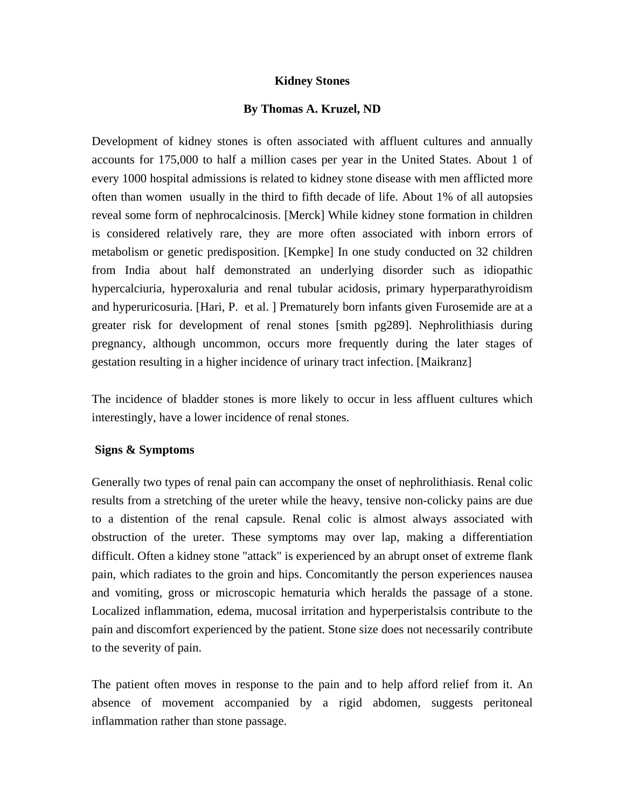## **Kidney Stones**

## **By Thomas A. Kruzel, ND**

Development of kidney stones is often associated with affluent cultures and annually accounts for 175,000 to half a million cases per year in the United States. About 1 of every 1000 hospital admissions is related to kidney stone disease with men afflicted more often than women usually in the third to fifth decade of life. About 1% of all autopsies reveal some form of nephrocalcinosis. [Merck] While kidney stone formation in children is considered relatively rare, they are more often associated with inborn errors of metabolism or genetic predisposition. [Kempke] In one study conducted on 32 children from India about half demonstrated an underlying disorder such as idiopathic hypercalciuria, hyperoxaluria and renal tubular acidosis, primary hyperparathyroidism and hyperuricosuria. [Hari, P. et al. ] Prematurely born infants given Furosemide are at a greater risk for development of renal stones [smith pg289]. Nephrolithiasis during pregnancy, although uncommon, occurs more frequently during the later stages of gestation resulting in a higher incidence of urinary tract infection. [Maikranz]

The incidence of bladder stones is more likely to occur in less affluent cultures which interestingly, have a lower incidence of renal stones.

### **Signs & Symptoms**

Generally two types of renal pain can accompany the onset of nephrolithiasis. Renal colic results from a stretching of the ureter while the heavy, tensive non-colicky pains are due to a distention of the renal capsule. Renal colic is almost always associated with obstruction of the ureter. These symptoms may over lap, making a differentiation difficult. Often a kidney stone "attack" is experienced by an abrupt onset of extreme flank pain, which radiates to the groin and hips. Concomitantly the person experiences nausea and vomiting, gross or microscopic hematuria which heralds the passage of a stone. Localized inflammation, edema, mucosal irritation and hyperperistalsis contribute to the pain and discomfort experienced by the patient. Stone size does not necessarily contribute to the severity of pain.

The patient often moves in response to the pain and to help afford relief from it. An absence of movement accompanied by a rigid abdomen, suggests peritoneal inflammation rather than stone passage.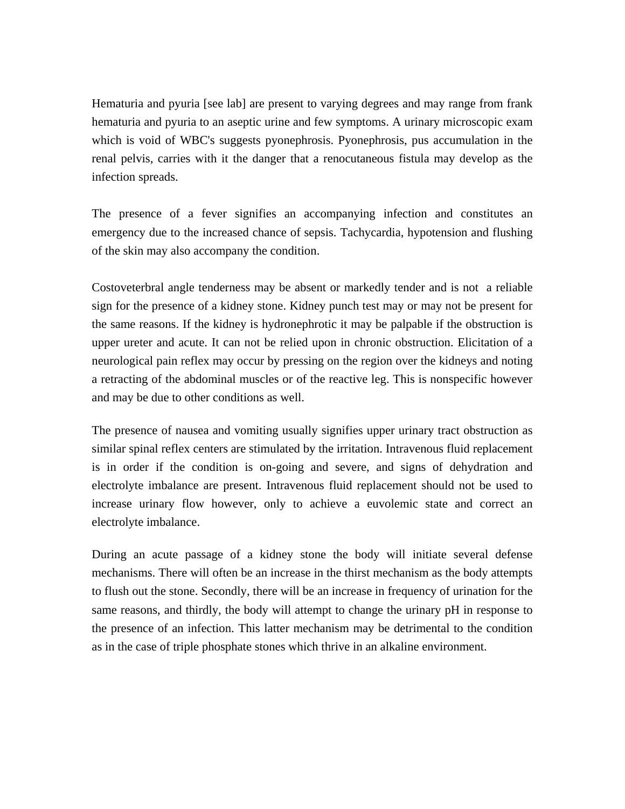Hematuria and pyuria [see lab] are present to varying degrees and may range from frank hematuria and pyuria to an aseptic urine and few symptoms. A urinary microscopic exam which is void of WBC's suggests pyonephrosis. Pyonephrosis, pus accumulation in the renal pelvis, carries with it the danger that a renocutaneous fistula may develop as the infection spreads.

The presence of a fever signifies an accompanying infection and constitutes an emergency due to the increased chance of sepsis. Tachycardia, hypotension and flushing of the skin may also accompany the condition.

Costoveterbral angle tenderness may be absent or markedly tender and is not a reliable sign for the presence of a kidney stone. Kidney punch test may or may not be present for the same reasons. If the kidney is hydronephrotic it may be palpable if the obstruction is upper ureter and acute. It can not be relied upon in chronic obstruction. Elicitation of a neurological pain reflex may occur by pressing on the region over the kidneys and noting a retracting of the abdominal muscles or of the reactive leg. This is nonspecific however and may be due to other conditions as well.

The presence of nausea and vomiting usually signifies upper urinary tract obstruction as similar spinal reflex centers are stimulated by the irritation. Intravenous fluid replacement is in order if the condition is on-going and severe, and signs of dehydration and electrolyte imbalance are present. Intravenous fluid replacement should not be used to increase urinary flow however, only to achieve a euvolemic state and correct an electrolyte imbalance.

During an acute passage of a kidney stone the body will initiate several defense mechanisms. There will often be an increase in the thirst mechanism as the body attempts to flush out the stone. Secondly, there will be an increase in frequency of urination for the same reasons, and thirdly, the body will attempt to change the urinary pH in response to the presence of an infection. This latter mechanism may be detrimental to the condition as in the case of triple phosphate stones which thrive in an alkaline environment.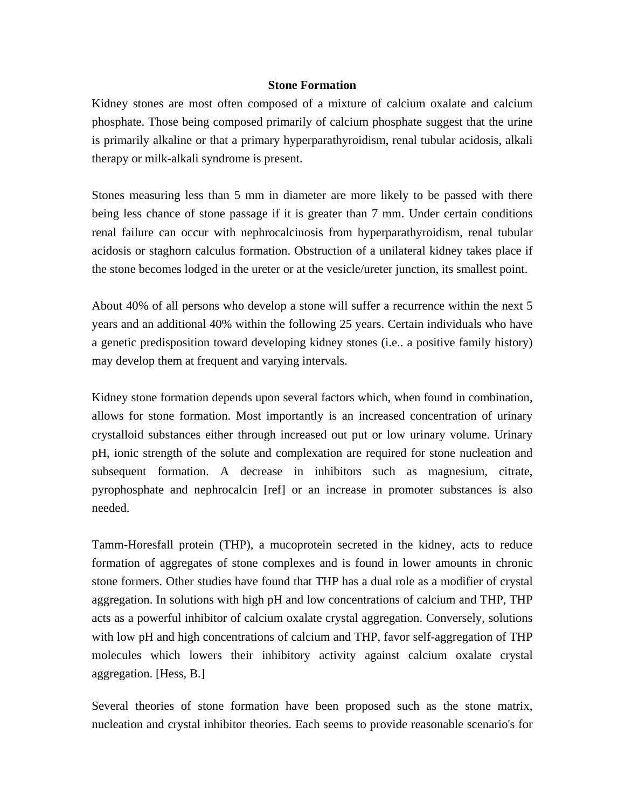## **Stone Formation**

Kidney stones are most often composed of a mixture of calcium oxalate and calcium phosphate. Those being composed primarily of calcium phosphate suggest that the urine is primarily alkaline or that a primary hyperparathyroidism, renal tubular acidosis, alkali therapy or milk-alkali syndrome is present.

Stones measuring less than 5 mm in diameter are more likely to be passed with there being less chance of stone passage if it is greater than 7 mm. Under certain conditions renal failure can occur with nephrocalcinosis from hyperparathyroidism, renal tubular acidosis or staghorn calculus formation. Obstruction of a unilateral kidney takes place if the stone becomes lodged in the ureter or at the vesicle/ureter junction, its smallest point.

About 40% of all persons who develop a stone will suffer a recurrence within the next 5 years and an additional 40% within the following 25 years. Certain individuals who have a genetic predisposition toward developing kidney stones (i.e.. a positive family history) may develop them at frequent and varying intervals.

Kidney stone formation depends upon several factors which, when found in combination, allows for stone formation. Most importantly is an increased concentration of urinary crystalloid substances either through increased out put or low urinary volume. Urinary pH, ionic strength of the solute and complexation are required for stone nucleation and subsequent formation. A decrease in inhibitors such as magnesium, citrate, pyrophosphate and nephrocalcin [ref] or an increase in promoter substances is also needed.

Tamm-Horesfall protein (THP), a mucoprotein secreted in the kidney, acts to reduce formation of aggregates of stone complexes and is found in lower amounts in chronic stone formers. Other studies have found that THP has a dual role as a modifier of crystal aggregation. In solutions with high pH and low concentrations of calcium and THP, THP acts as a powerful inhibitor of calcium oxalate crystal aggregation. Conversely, solutions with low pH and high concentrations of calcium and THP, favor self-aggregation of THP molecules which lowers their inhibitory activity against calcium oxalate crystal aggregation. [Hess, B.]

Several theories of stone formation have been proposed such as the stone matrix, nucleation and crystal inhibitor theories. Each seems to provide reasonable scenario's for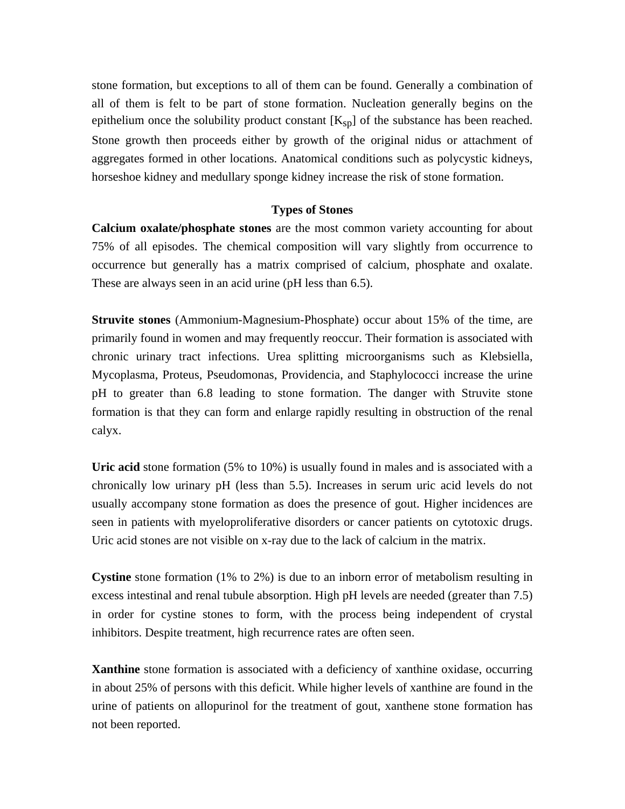stone formation, but exceptions to all of them can be found. Generally a combination of all of them is felt to be part of stone formation. Nucleation generally begins on the epithelium once the solubility product constant  $[K_{sp}]$  of the substance has been reached. Stone growth then proceeds either by growth of the original nidus or attachment of aggregates formed in other locations. Anatomical conditions such as polycystic kidneys, horseshoe kidney and medullary sponge kidney increase the risk of stone formation.

## **Types of Stones**

**Calcium oxalate/phosphate stones** are the most common variety accounting for about 75% of all episodes. The chemical composition will vary slightly from occurrence to occurrence but generally has a matrix comprised of calcium, phosphate and oxalate. These are always seen in an acid urine (pH less than 6.5).

**Struvite stones** (Ammonium-Magnesium-Phosphate) occur about 15% of the time, are primarily found in women and may frequently reoccur. Their formation is associated with chronic urinary tract infections. Urea splitting microorganisms such as Klebsiella, Mycoplasma, Proteus, Pseudomonas, Providencia, and Staphylococci increase the urine pH to greater than 6.8 leading to stone formation. The danger with Struvite stone formation is that they can form and enlarge rapidly resulting in obstruction of the renal calyx.

**Uric acid** stone formation (5% to 10%) is usually found in males and is associated with a chronically low urinary pH (less than 5.5). Increases in serum uric acid levels do not usually accompany stone formation as does the presence of gout. Higher incidences are seen in patients with myeloproliferative disorders or cancer patients on cytotoxic drugs. Uric acid stones are not visible on x-ray due to the lack of calcium in the matrix.

**Cystine** stone formation (1% to 2%) is due to an inborn error of metabolism resulting in excess intestinal and renal tubule absorption. High pH levels are needed (greater than 7.5) in order for cystine stones to form, with the process being independent of crystal inhibitors. Despite treatment, high recurrence rates are often seen.

**Xanthine** stone formation is associated with a deficiency of xanthine oxidase, occurring in about 25% of persons with this deficit. While higher levels of xanthine are found in the urine of patients on allopurinol for the treatment of gout, xanthene stone formation has not been reported.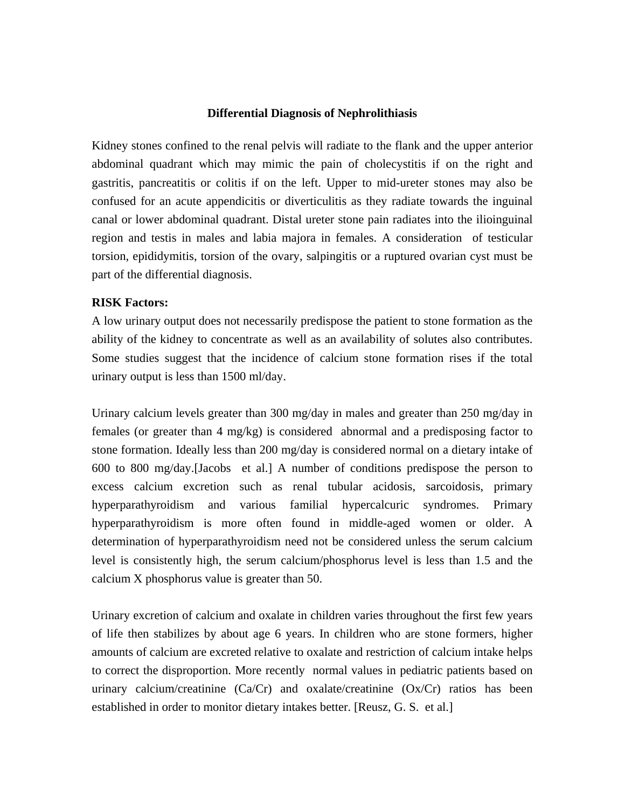#### **Differential Diagnosis of Nephrolithiasis**

Kidney stones confined to the renal pelvis will radiate to the flank and the upper anterior abdominal quadrant which may mimic the pain of cholecystitis if on the right and gastritis, pancreatitis or colitis if on the left. Upper to mid-ureter stones may also be confused for an acute appendicitis or diverticulitis as they radiate towards the inguinal canal or lower abdominal quadrant. Distal ureter stone pain radiates into the ilioinguinal region and testis in males and labia majora in females. A consideration of testicular torsion, epididymitis, torsion of the ovary, salpingitis or a ruptured ovarian cyst must be part of the differential diagnosis.

## **RISK Factors:**

A low urinary output does not necessarily predispose the patient to stone formation as the ability of the kidney to concentrate as well as an availability of solutes also contributes. Some studies suggest that the incidence of calcium stone formation rises if the total urinary output is less than 1500 ml/day.

Urinary calcium levels greater than 300 mg/day in males and greater than 250 mg/day in females (or greater than 4 mg/kg) is considered abnormal and a predisposing factor to stone formation. Ideally less than 200 mg/day is considered normal on a dietary intake of 600 to 800 mg/day.[Jacobs et al.] A number of conditions predispose the person to excess calcium excretion such as renal tubular acidosis, sarcoidosis, primary hyperparathyroidism and various familial hypercalcuric syndromes. Primary hyperparathyroidism is more often found in middle-aged women or older. A determination of hyperparathyroidism need not be considered unless the serum calcium level is consistently high, the serum calcium/phosphorus level is less than 1.5 and the calcium X phosphorus value is greater than 50.

Urinary excretion of calcium and oxalate in children varies throughout the first few years of life then stabilizes by about age 6 years. In children who are stone formers, higher amounts of calcium are excreted relative to oxalate and restriction of calcium intake helps to correct the disproportion. More recently normal values in pediatric patients based on urinary calcium/creatinine (Ca/Cr) and oxalate/creatinine (Ox/Cr) ratios has been established in order to monitor dietary intakes better. [Reusz, G. S. et al.]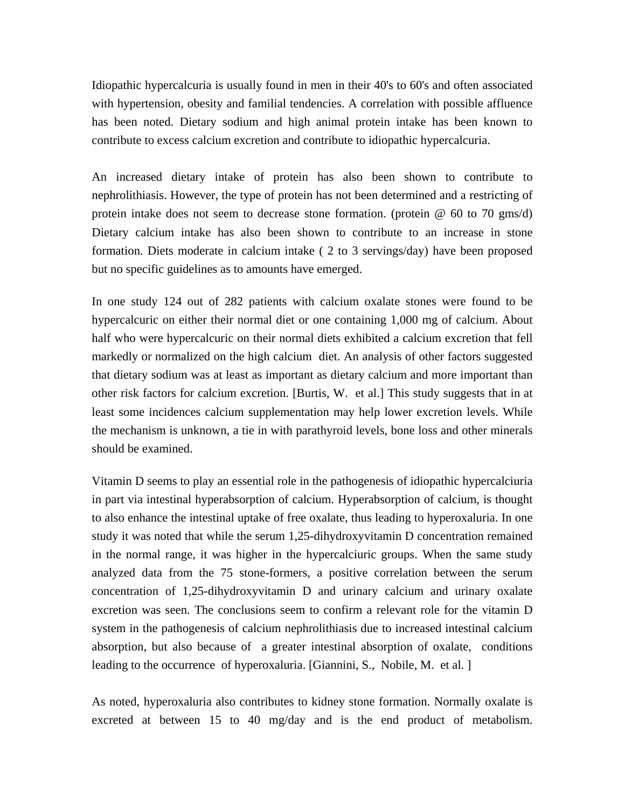Idiopathic hypercalcuria is usually found in men in their 40's to 60's and often associated with hypertension, obesity and familial tendencies. A correlation with possible affluence has been noted. Dietary sodium and high animal protein intake has been known to contribute to excess calcium excretion and contribute to idiopathic hypercalcuria.

An increased dietary intake of protein has also been shown to contribute to nephrolithiasis. However, the type of protein has not been determined and a restricting of protein intake does not seem to decrease stone formation. (protein  $\omega$  60 to 70 gms/d) Dietary calcium intake has also been shown to contribute to an increase in stone formation. Diets moderate in calcium intake ( 2 to 3 servings/day) have been proposed but no specific guidelines as to amounts have emerged.

In one study 124 out of 282 patients with calcium oxalate stones were found to be hypercalcuric on either their normal diet or one containing 1,000 mg of calcium. About half who were hypercalcuric on their normal diets exhibited a calcium excretion that fell markedly or normalized on the high calcium diet. An analysis of other factors suggested that dietary sodium was at least as important as dietary calcium and more important than other risk factors for calcium excretion. [Burtis, W. et al.] This study suggests that in at least some incidences calcium supplementation may help lower excretion levels. While the mechanism is unknown, a tie in with parathyroid levels, bone loss and other minerals should be examined.

Vitamin D seems to play an essential role in the pathogenesis of idiopathic hypercalciuria in part via intestinal hyperabsorption of calcium. Hyperabsorption of calcium, is thought to also enhance the intestinal uptake of free oxalate, thus leading to hyperoxaluria. In one study it was noted that while the serum 1,25-dihydroxyvitamin D concentration remained in the normal range, it was higher in the hypercalciuric groups. When the same study analyzed data from the 75 stone-formers, a positive correlation between the serum concentration of 1,25-dihydroxyvitamin D and urinary calcium and urinary oxalate excretion was seen. The conclusions seem to confirm a relevant role for the vitamin D system in the pathogenesis of calcium nephrolithiasis due to increased intestinal calcium absorption, but also because of a greater intestinal absorption of oxalate, conditions leading to the occurrence of hyperoxaluria. [Giannini, S., Nobile, M. et al. ]

As noted, hyperoxaluria also contributes to kidney stone formation. Normally oxalate is excreted at between 15 to 40 mg/day and is the end product of metabolism.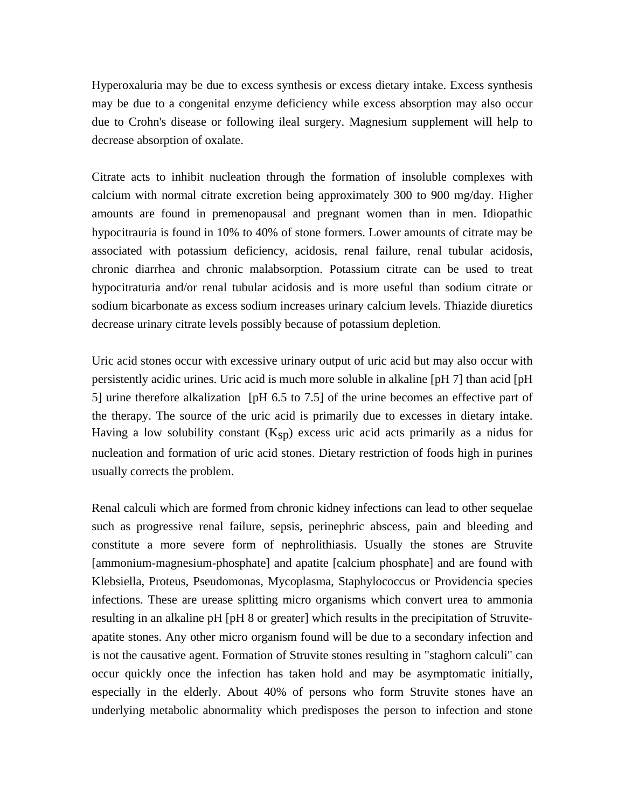Hyperoxaluria may be due to excess synthesis or excess dietary intake. Excess synthesis may be due to a congenital enzyme deficiency while excess absorption may also occur due to Crohn's disease or following ileal surgery. Magnesium supplement will help to decrease absorption of oxalate.

Citrate acts to inhibit nucleation through the formation of insoluble complexes with calcium with normal citrate excretion being approximately 300 to 900 mg/day. Higher amounts are found in premenopausal and pregnant women than in men. Idiopathic hypocitrauria is found in 10% to 40% of stone formers. Lower amounts of citrate may be associated with potassium deficiency, acidosis, renal failure, renal tubular acidosis, chronic diarrhea and chronic malabsorption. Potassium citrate can be used to treat hypocitraturia and/or renal tubular acidosis and is more useful than sodium citrate or sodium bicarbonate as excess sodium increases urinary calcium levels. Thiazide diuretics decrease urinary citrate levels possibly because of potassium depletion.

Uric acid stones occur with excessive urinary output of uric acid but may also occur with persistently acidic urines. Uric acid is much more soluble in alkaline [pH 7] than acid [pH 5] urine therefore alkalization [pH 6.5 to 7.5] of the urine becomes an effective part of the therapy. The source of the uric acid is primarily due to excesses in dietary intake. Having a low solubility constant  $(K_{SD})$  excess uric acid acts primarily as a nidus for nucleation and formation of uric acid stones. Dietary restriction of foods high in purines usually corrects the problem.

Renal calculi which are formed from chronic kidney infections can lead to other sequelae such as progressive renal failure, sepsis, perinephric abscess, pain and bleeding and constitute a more severe form of nephrolithiasis. Usually the stones are Struvite [ammonium-magnesium-phosphate] and apatite [calcium phosphate] and are found with Klebsiella, Proteus, Pseudomonas, Mycoplasma, Staphylococcus or Providencia species infections. These are urease splitting micro organisms which convert urea to ammonia resulting in an alkaline pH [pH 8 or greater] which results in the precipitation of Struviteapatite stones. Any other micro organism found will be due to a secondary infection and is not the causative agent. Formation of Struvite stones resulting in "staghorn calculi" can occur quickly once the infection has taken hold and may be asymptomatic initially, especially in the elderly. About 40% of persons who form Struvite stones have an underlying metabolic abnormality which predisposes the person to infection and stone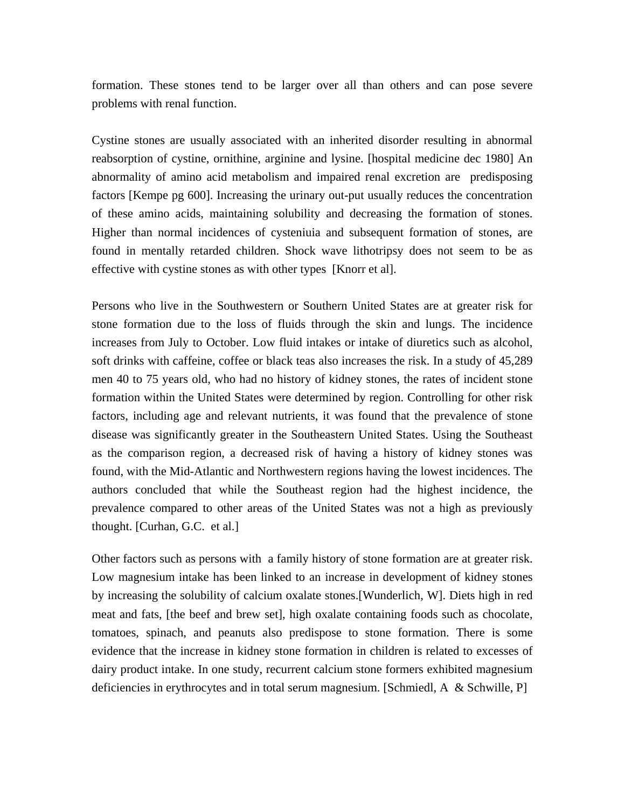formation. These stones tend to be larger over all than others and can pose severe problems with renal function.

Cystine stones are usually associated with an inherited disorder resulting in abnormal reabsorption of cystine, ornithine, arginine and lysine. [hospital medicine dec 1980] An abnormality of amino acid metabolism and impaired renal excretion are predisposing factors [Kempe pg 600]. Increasing the urinary out-put usually reduces the concentration of these amino acids, maintaining solubility and decreasing the formation of stones. Higher than normal incidences of cysteniuia and subsequent formation of stones, are found in mentally retarded children. Shock wave lithotripsy does not seem to be as effective with cystine stones as with other types [Knorr et al].

Persons who live in the Southwestern or Southern United States are at greater risk for stone formation due to the loss of fluids through the skin and lungs. The incidence increases from July to October. Low fluid intakes or intake of diuretics such as alcohol, soft drinks with caffeine, coffee or black teas also increases the risk. In a study of 45,289 men 40 to 75 years old, who had no history of kidney stones, the rates of incident stone formation within the United States were determined by region. Controlling for other risk factors, including age and relevant nutrients, it was found that the prevalence of stone disease was significantly greater in the Southeastern United States. Using the Southeast as the comparison region, a decreased risk of having a history of kidney stones was found, with the Mid-Atlantic and Northwestern regions having the lowest incidences. The authors concluded that while the Southeast region had the highest incidence, the prevalence compared to other areas of the United States was not a high as previously thought. [Curhan, G.C. et al.]

Other factors such as persons with a family history of stone formation are at greater risk. Low magnesium intake has been linked to an increase in development of kidney stones by increasing the solubility of calcium oxalate stones.[Wunderlich, W]. Diets high in red meat and fats, [the beef and brew set], high oxalate containing foods such as chocolate, tomatoes, spinach, and peanuts also predispose to stone formation. There is some evidence that the increase in kidney stone formation in children is related to excesses of dairy product intake. In one study, recurrent calcium stone formers exhibited magnesium deficiencies in erythrocytes and in total serum magnesium. [Schmiedl, A & Schwille, P]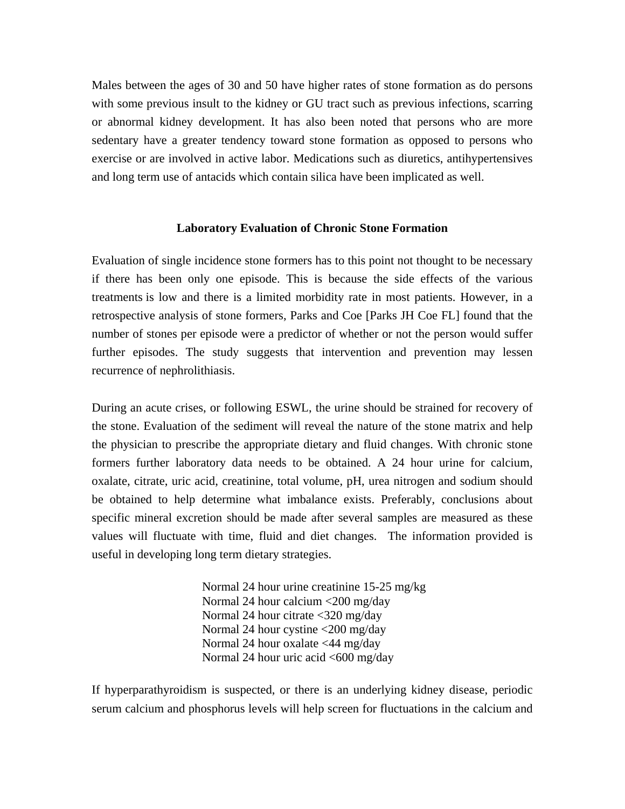Males between the ages of 30 and 50 have higher rates of stone formation as do persons with some previous insult to the kidney or GU tract such as previous infections, scarring or abnormal kidney development. It has also been noted that persons who are more sedentary have a greater tendency toward stone formation as opposed to persons who exercise or are involved in active labor. Medications such as diuretics, antihypertensives and long term use of antacids which contain silica have been implicated as well.

#### **Laboratory Evaluation of Chronic Stone Formation**

Evaluation of single incidence stone formers has to this point not thought to be necessary if there has been only one episode. This is because the side effects of the various treatments is low and there is a limited morbidity rate in most patients. However, in a retrospective analysis of stone formers, Parks and Coe [Parks JH Coe FL] found that the number of stones per episode were a predictor of whether or not the person would suffer further episodes. The study suggests that intervention and prevention may lessen recurrence of nephrolithiasis.

During an acute crises, or following ESWL, the urine should be strained for recovery of the stone. Evaluation of the sediment will reveal the nature of the stone matrix and help the physician to prescribe the appropriate dietary and fluid changes. With chronic stone formers further laboratory data needs to be obtained. A 24 hour urine for calcium, oxalate, citrate, uric acid, creatinine, total volume, pH, urea nitrogen and sodium should be obtained to help determine what imbalance exists. Preferably, conclusions about specific mineral excretion should be made after several samples are measured as these values will fluctuate with time, fluid and diet changes. The information provided is useful in developing long term dietary strategies.

> Normal 24 hour urine creatinine 15-25 mg/kg Normal 24 hour calcium <200 mg/day Normal 24 hour citrate <320 mg/day Normal 24 hour cystine <200 mg/day Normal 24 hour oxalate <44 mg/day Normal 24 hour uric acid  $\langle 600 \rangle$  mg/day

If hyperparathyroidism is suspected, or there is an underlying kidney disease, periodic serum calcium and phosphorus levels will help screen for fluctuations in the calcium and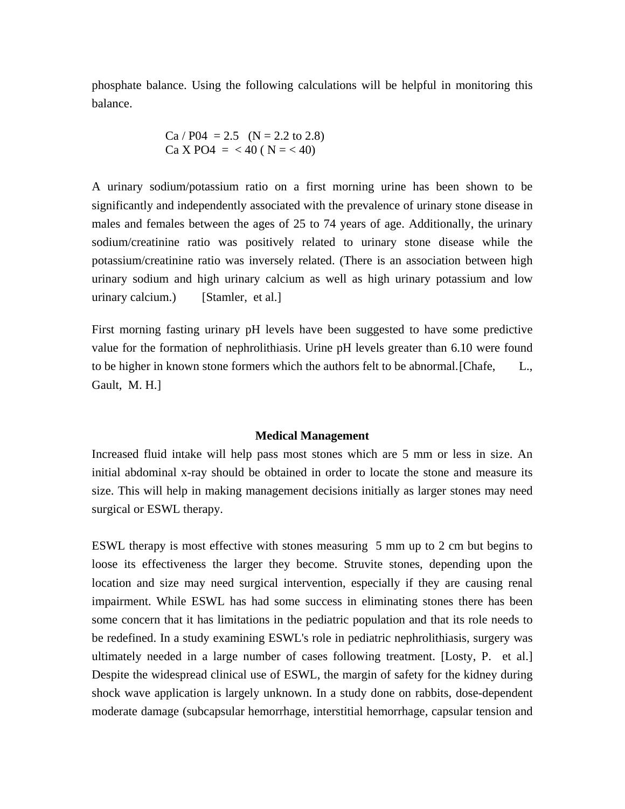phosphate balance. Using the following calculations will be helpful in monitoring this balance.

$$
Ca / P04 = 2.5 \t(N = 2.2 to 2.8)
$$
  
Ca X PO4 =  $\langle 40 (N = < 40)$ 

A urinary sodium/potassium ratio on a first morning urine has been shown to be significantly and independently associated with the prevalence of urinary stone disease in males and females between the ages of 25 to 74 years of age. Additionally, the urinary sodium/creatinine ratio was positively related to urinary stone disease while the potassium/creatinine ratio was inversely related. (There is an association between high urinary sodium and high urinary calcium as well as high urinary potassium and low urinary calcium.) [Stamler, et al.]

First morning fasting urinary pH levels have been suggested to have some predictive value for the formation of nephrolithiasis. Urine pH levels greater than 6.10 were found to be higher in known stone formers which the authors felt to be abnormal. [Chafe, L., Gault, M. H.]

#### **Medical Management**

Increased fluid intake will help pass most stones which are 5 mm or less in size. An initial abdominal x-ray should be obtained in order to locate the stone and measure its size. This will help in making management decisions initially as larger stones may need surgical or ESWL therapy.

ESWL therapy is most effective with stones measuring 5 mm up to 2 cm but begins to loose its effectiveness the larger they become. Struvite stones, depending upon the location and size may need surgical intervention, especially if they are causing renal impairment. While ESWL has had some success in eliminating stones there has been some concern that it has limitations in the pediatric population and that its role needs to be redefined. In a study examining ESWL's role in pediatric nephrolithiasis, surgery was ultimately needed in a large number of cases following treatment. [Losty, P. et al.] Despite the widespread clinical use of ESWL, the margin of safety for the kidney during shock wave application is largely unknown. In a study done on rabbits, dose-dependent moderate damage (subcapsular hemorrhage, interstitial hemorrhage, capsular tension and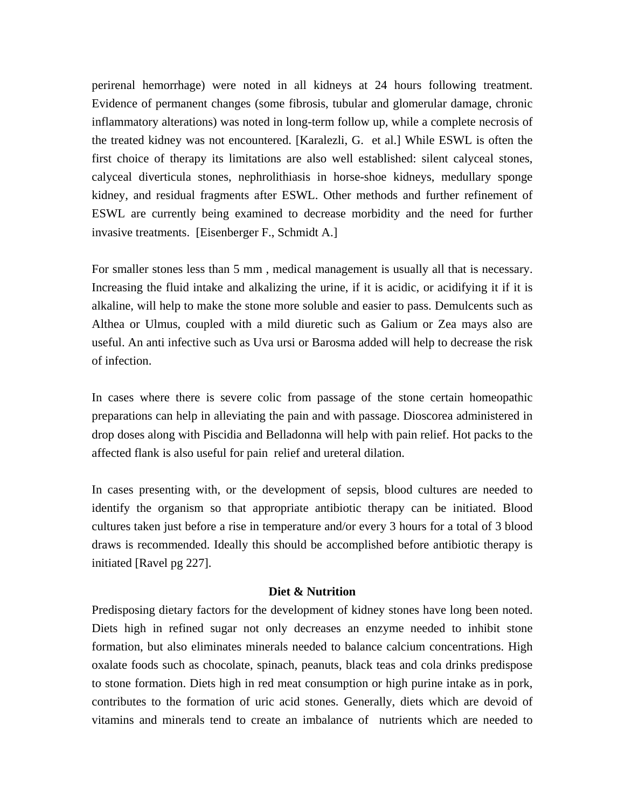perirenal hemorrhage) were noted in all kidneys at 24 hours following treatment. Evidence of permanent changes (some fibrosis, tubular and glomerular damage, chronic inflammatory alterations) was noted in long-term follow up, while a complete necrosis of the treated kidney was not encountered. [Karalezli, G. et al.] While ESWL is often the first choice of therapy its limitations are also well established: silent calyceal stones, calyceal diverticula stones, nephrolithiasis in horse-shoe kidneys, medullary sponge kidney, and residual fragments after ESWL. Other methods and further refinement of ESWL are currently being examined to decrease morbidity and the need for further invasive treatments. [Eisenberger F., Schmidt A.]

For smaller stones less than 5 mm , medical management is usually all that is necessary. Increasing the fluid intake and alkalizing the urine, if it is acidic, or acidifying it if it is alkaline, will help to make the stone more soluble and easier to pass. Demulcents such as Althea or Ulmus, coupled with a mild diuretic such as Galium or Zea mays also are useful. An anti infective such as Uva ursi or Barosma added will help to decrease the risk of infection.

In cases where there is severe colic from passage of the stone certain homeopathic preparations can help in alleviating the pain and with passage. Dioscorea administered in drop doses along with Piscidia and Belladonna will help with pain relief. Hot packs to the affected flank is also useful for pain relief and ureteral dilation.

In cases presenting with, or the development of sepsis, blood cultures are needed to identify the organism so that appropriate antibiotic therapy can be initiated. Blood cultures taken just before a rise in temperature and/or every 3 hours for a total of 3 blood draws is recommended. Ideally this should be accomplished before antibiotic therapy is initiated [Ravel pg 227].

### **Diet & Nutrition**

Predisposing dietary factors for the development of kidney stones have long been noted. Diets high in refined sugar not only decreases an enzyme needed to inhibit stone formation, but also eliminates minerals needed to balance calcium concentrations. High oxalate foods such as chocolate, spinach, peanuts, black teas and cola drinks predispose to stone formation. Diets high in red meat consumption or high purine intake as in pork, contributes to the formation of uric acid stones. Generally, diets which are devoid of vitamins and minerals tend to create an imbalance of nutrients which are needed to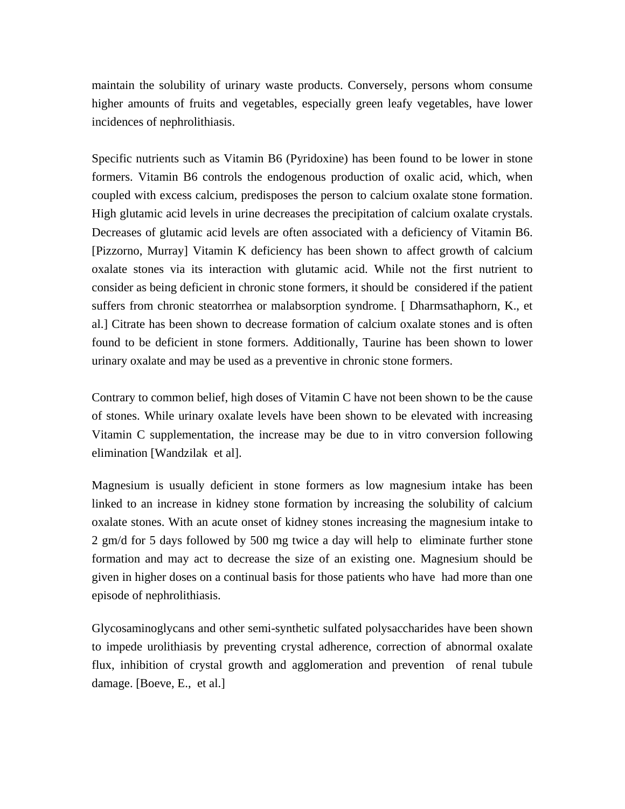maintain the solubility of urinary waste products. Conversely, persons whom consume higher amounts of fruits and vegetables, especially green leafy vegetables, have lower incidences of nephrolithiasis.

Specific nutrients such as Vitamin B6 (Pyridoxine) has been found to be lower in stone formers. Vitamin B6 controls the endogenous production of oxalic acid, which, when coupled with excess calcium, predisposes the person to calcium oxalate stone formation. High glutamic acid levels in urine decreases the precipitation of calcium oxalate crystals. Decreases of glutamic acid levels are often associated with a deficiency of Vitamin B6. [Pizzorno, Murray] Vitamin K deficiency has been shown to affect growth of calcium oxalate stones via its interaction with glutamic acid. While not the first nutrient to consider as being deficient in chronic stone formers, it should be considered if the patient suffers from chronic steatorrhea or malabsorption syndrome. [ Dharmsathaphorn, K., et al.] Citrate has been shown to decrease formation of calcium oxalate stones and is often found to be deficient in stone formers. Additionally, Taurine has been shown to lower urinary oxalate and may be used as a preventive in chronic stone formers.

Contrary to common belief, high doses of Vitamin C have not been shown to be the cause of stones. While urinary oxalate levels have been shown to be elevated with increasing Vitamin C supplementation, the increase may be due to in vitro conversion following elimination [Wandzilak et al].

Magnesium is usually deficient in stone formers as low magnesium intake has been linked to an increase in kidney stone formation by increasing the solubility of calcium oxalate stones. With an acute onset of kidney stones increasing the magnesium intake to 2 gm/d for 5 days followed by 500 mg twice a day will help to eliminate further stone formation and may act to decrease the size of an existing one. Magnesium should be given in higher doses on a continual basis for those patients who have had more than one episode of nephrolithiasis.

Glycosaminoglycans and other semi-synthetic sulfated polysaccharides have been shown to impede urolithiasis by preventing crystal adherence, correction of abnormal oxalate flux, inhibition of crystal growth and agglomeration and prevention of renal tubule damage. [Boeve, E., et al.]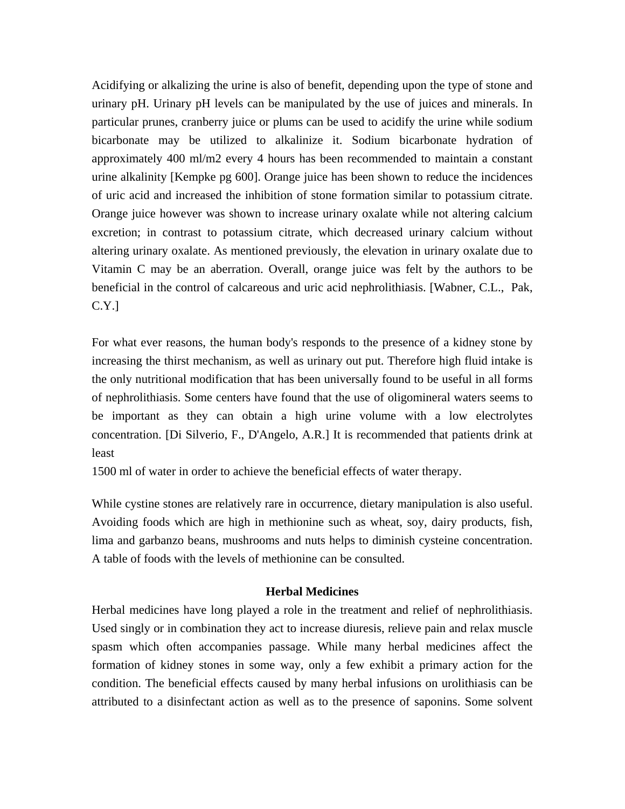Acidifying or alkalizing the urine is also of benefit, depending upon the type of stone and urinary pH. Urinary pH levels can be manipulated by the use of juices and minerals. In particular prunes, cranberry juice or plums can be used to acidify the urine while sodium bicarbonate may be utilized to alkalinize it. Sodium bicarbonate hydration of approximately 400 ml/m2 every 4 hours has been recommended to maintain a constant urine alkalinity [Kempke pg 600]. Orange juice has been shown to reduce the incidences of uric acid and increased the inhibition of stone formation similar to potassium citrate. Orange juice however was shown to increase urinary oxalate while not altering calcium excretion; in contrast to potassium citrate, which decreased urinary calcium without altering urinary oxalate. As mentioned previously, the elevation in urinary oxalate due to Vitamin C may be an aberration. Overall, orange juice was felt by the authors to be beneficial in the control of calcareous and uric acid nephrolithiasis. [Wabner, C.L., Pak, C.Y.]

For what ever reasons, the human body's responds to the presence of a kidney stone by increasing the thirst mechanism, as well as urinary out put. Therefore high fluid intake is the only nutritional modification that has been universally found to be useful in all forms of nephrolithiasis. Some centers have found that the use of oligomineral waters seems to be important as they can obtain a high urine volume with a low electrolytes concentration. [Di Silverio, F., D'Angelo, A.R.] It is recommended that patients drink at least

1500 ml of water in order to achieve the beneficial effects of water therapy.

While cystine stones are relatively rare in occurrence, dietary manipulation is also useful. Avoiding foods which are high in methionine such as wheat, soy, dairy products, fish, lima and garbanzo beans, mushrooms and nuts helps to diminish cysteine concentration. A table of foods with the levels of methionine can be consulted.

## **Herbal Medicines**

Herbal medicines have long played a role in the treatment and relief of nephrolithiasis. Used singly or in combination they act to increase diuresis, relieve pain and relax muscle spasm which often accompanies passage. While many herbal medicines affect the formation of kidney stones in some way, only a few exhibit a primary action for the condition. The beneficial effects caused by many herbal infusions on urolithiasis can be attributed to a disinfectant action as well as to the presence of saponins. Some solvent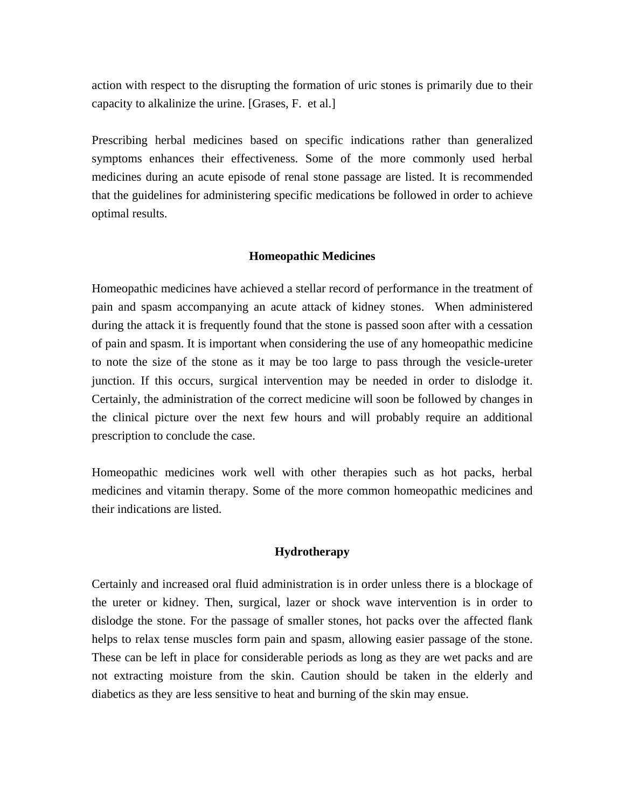action with respect to the disrupting the formation of uric stones is primarily due to their capacity to alkalinize the urine. [Grases, F. et al.]

Prescribing herbal medicines based on specific indications rather than generalized symptoms enhances their effectiveness. Some of the more commonly used herbal medicines during an acute episode of renal stone passage are listed. It is recommended that the guidelines for administering specific medications be followed in order to achieve optimal results.

## **Homeopathic Medicines**

Homeopathic medicines have achieved a stellar record of performance in the treatment of pain and spasm accompanying an acute attack of kidney stones. When administered during the attack it is frequently found that the stone is passed soon after with a cessation of pain and spasm. It is important when considering the use of any homeopathic medicine to note the size of the stone as it may be too large to pass through the vesicle-ureter junction. If this occurs, surgical intervention may be needed in order to dislodge it. Certainly, the administration of the correct medicine will soon be followed by changes in the clinical picture over the next few hours and will probably require an additional prescription to conclude the case.

Homeopathic medicines work well with other therapies such as hot packs, herbal medicines and vitamin therapy. Some of the more common homeopathic medicines and their indications are listed.

### **Hydrotherapy**

Certainly and increased oral fluid administration is in order unless there is a blockage of the ureter or kidney. Then, surgical, lazer or shock wave intervention is in order to dislodge the stone. For the passage of smaller stones, hot packs over the affected flank helps to relax tense muscles form pain and spasm, allowing easier passage of the stone. These can be left in place for considerable periods as long as they are wet packs and are not extracting moisture from the skin. Caution should be taken in the elderly and diabetics as they are less sensitive to heat and burning of the skin may ensue.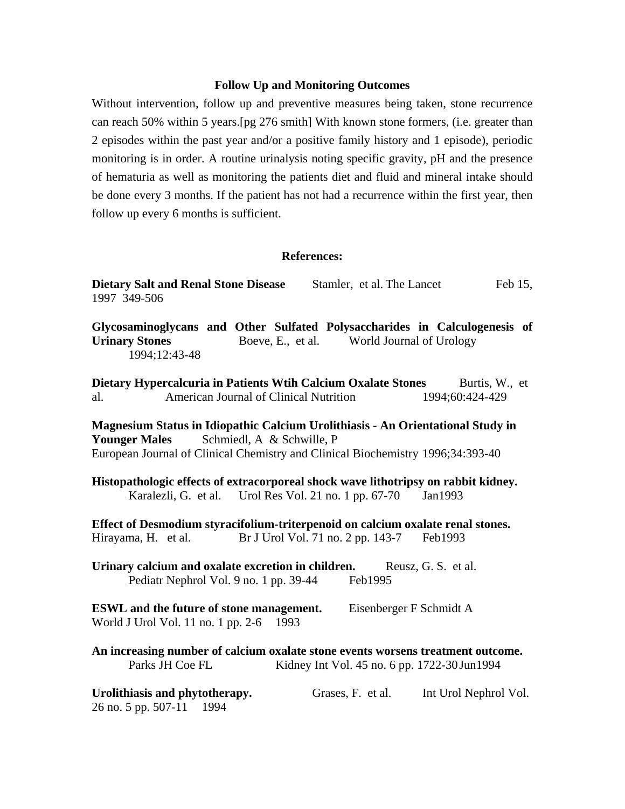## **Follow Up and Monitoring Outcomes**

Without intervention, follow up and preventive measures being taken, stone recurrence can reach 50% within 5 years.[pg 276 smith] With known stone formers, (i.e. greater than 2 episodes within the past year and/or a positive family history and 1 episode), periodic monitoring is in order. A routine urinalysis noting specific gravity, pH and the presence of hematuria as well as monitoring the patients diet and fluid and mineral intake should be done every 3 months. If the patient has not had a recurrence within the first year, then follow up every 6 months is sufficient.

#### **References:**

| <b>Dietary Salt and Renal Stone Disease</b><br>1997 349-506                                                                                                                                                             | Stamler, et al. The Lancet                    | Feb 15,                           |
|-------------------------------------------------------------------------------------------------------------------------------------------------------------------------------------------------------------------------|-----------------------------------------------|-----------------------------------|
| Glycosaminoglycans and Other Sulfated Polysaccharides in Calculogenesis of<br><b>Urinary Stones</b><br>1994;12:43-48                                                                                                    | Boeve, E., et al. World Journal of Urology    |                                   |
| Dietary Hypercalcuria in Patients Wtih Calcium Oxalate Stones<br>American Journal of Clinical Nutrition<br>al.                                                                                                          |                                               | Burtis, W., et<br>1994;60:424-429 |
| Magnesium Status in Idiopathic Calcium Urolithiasis - An Orientational Study in<br>Schmiedl, A & Schwille, P<br><b>Younger Males</b><br>European Journal of Clinical Chemistry and Clinical Biochemistry 1996;34:393-40 |                                               |                                   |
| Histopathologic effects of extracorporeal shock wave lithotripsy on rabbit kidney.<br>Karalezli, G. et al.                                                                                                              | Urol Res Vol. 21 no. 1 pp. 67-70              | Jan1993                           |
| Effect of Desmodium styracifolium-triterpenoid on calcium oxalate renal stones.<br>Hirayama, H. et al.                                                                                                                  | Br J Urol Vol. 71 no. 2 pp. 143-7             | Feb1993                           |
| Urinary calcium and oxalate excretion in children.<br>Pediatr Nephrol Vol. 9 no. 1 pp. 39-44                                                                                                                            | Feb1995                                       | Reusz, G. S. et al.               |
| <b>ESWL</b> and the future of stone management.<br>World J Urol Vol. 11 no. 1 pp. 2-6 1993                                                                                                                              | Eisenberger F Schmidt A                       |                                   |
| An increasing number of calcium oxalate stone events worsens treatment outcome.<br>Parks JH Coe FL                                                                                                                      | Kidney Int Vol. 45 no. 6 pp. 1722-30 Jun 1994 |                                   |
| Urolithiasis and phytotherapy.<br>26 no. 5 pp. 507-11<br>1994                                                                                                                                                           | Grases, F. et al.                             | Int Urol Nephrol Vol.             |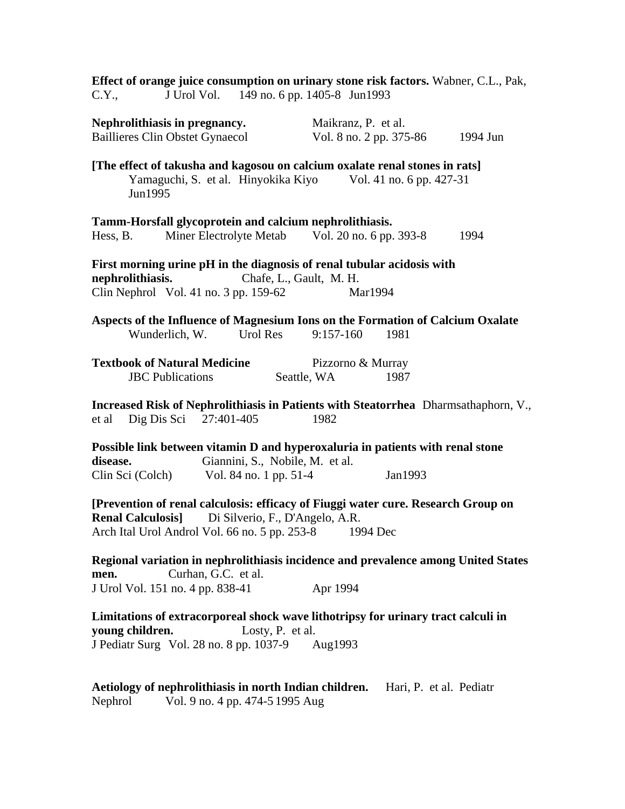| Effect of orange juice consumption on urinary stone risk factors. Wabner, C.L., Pak,                                                                                    |                                                              |                                  |         |          |
|-------------------------------------------------------------------------------------------------------------------------------------------------------------------------|--------------------------------------------------------------|----------------------------------|---------|----------|
| C.Y.,                                                                                                                                                                   | J Urol Vol. 149 no. 6 pp. 1405-8 Jun1993                     |                                  |         |          |
| Nephrolithiasis in pregnancy.                                                                                                                                           |                                                              | Maikranz, P. et al.              |         |          |
| <b>Baillieres Clin Obstet Gynaecol</b>                                                                                                                                  |                                                              | Vol. 8 no. 2 pp. 375-86          |         | 1994 Jun |
| [The effect of takusha and kagosou on calcium oxalate renal stones in rats]<br>Jun1995                                                                                  | Yamaguchi, S. et al. Hinyokika Kiyo Vol. 41 no. 6 pp. 427-31 |                                  |         |          |
| Tamm-Horsfall glycoprotein and calcium nephrolithiasis.                                                                                                                 |                                                              |                                  |         |          |
| Hess, B.                                                                                                                                                                | Miner Electrolyte Metab Vol. 20 no. 6 pp. 393-8              |                                  |         | 1994     |
| First morning urine pH in the diagnosis of renal tubular acidosis with<br>nephrolithiasis.<br>Clin Nephrol Vol. 41 no. $3$ pp. 159-62                                   | Chafe, L., Gault, M. H.                                      | Mar1994                          |         |          |
| Aspects of the Influence of Magnesium Ions on the Formation of Calcium Oxalate<br>Wunderlich, W.                                                                        | Urol Res                                                     | $9:157-160$                      | 1981    |          |
| <b>Textbook of Natural Medicine</b><br><b>JBC</b> Publications                                                                                                          |                                                              | Pizzorno & Murray<br>Seattle, WA | 1987    |          |
| Increased Risk of Nephrolithiasis in Patients with Steatorrhea Dharmsathaphorn, V.,<br>Dig Dis Sci 27:401-405<br>et al                                                  |                                                              | 1982                             |         |          |
| Possible link between vitamin D and hyperoxaluria in patients with renal stone<br>disease.                                                                              | Giannini, S., Nobile, M. et al.                              |                                  |         |          |
| Clin Sci (Colch) Vol. 84 no. 1 pp. $51-4$                                                                                                                               |                                                              |                                  | Jan1993 |          |
| [Prevention of renal calculosis: efficacy of Fiuggi water cure. Research Group on<br><b>Renal Calculosis]</b><br>Arch Ital Urol Androl Vol. 66 no. 5 pp. 253-8 1994 Dec | Di Silverio, F., D'Angelo, A.R.                              |                                  |         |          |
| Regional variation in nephrolithiasis incidence and prevalence among United States<br>men.                                                                              | Curhan, G.C. et al.                                          |                                  |         |          |
| J Urol Vol. 151 no. 4 pp. 838-41                                                                                                                                        |                                                              | Apr 1994                         |         |          |
| Limitations of extracorporeal shock wave lithotripsy for urinary tract calculi in<br>young children.<br>J Pediatr Surg Vol. 28 no. 8 pp. 1037-9 Aug1993                 | Losty, P. et al.                                             |                                  |         |          |
| Aetiology of nephrolithiasis in north Indian children. Hari, P. et al. Pediatr                                                                                          |                                                              |                                  |         |          |

Nephrol Vol. 9 no. 4 pp. 474-5 1995 Aug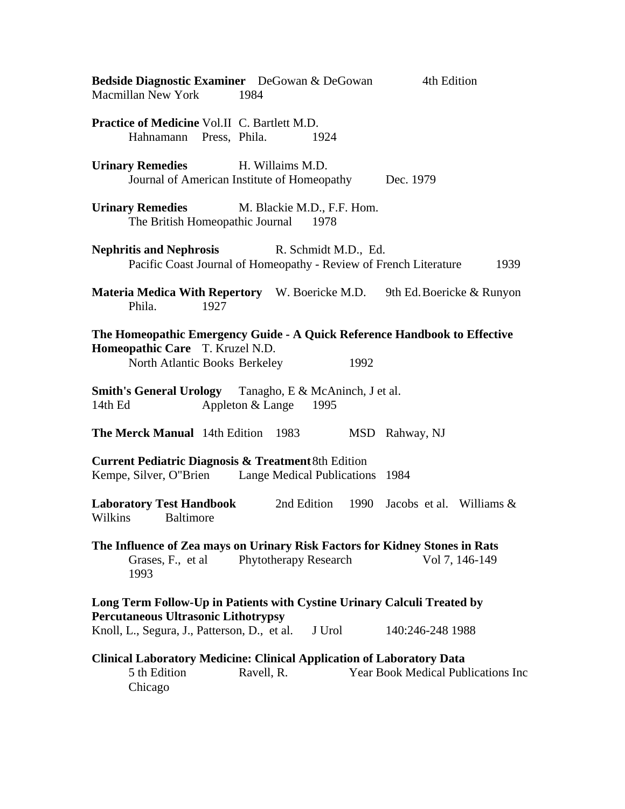| Bedside Diagnostic Examiner DeGowan & DeGowan<br>Macmillan New York 1984                                                                      |                       | 4th Edition                               |  |  |
|-----------------------------------------------------------------------------------------------------------------------------------------------|-----------------------|-------------------------------------------|--|--|
| <b>Practice of Medicine Vol.II C. Bartlett M.D.</b><br>Hahnamann Press, Phila.                                                                | 1924                  |                                           |  |  |
| <b>Urinary Remedies</b><br>H. Willaims M.D.<br>Journal of American Institute of Homeopathy Dec. 1979                                          |                       |                                           |  |  |
| <b>Urinary Remedies</b> M. Blackie M.D., F.F. Hom.<br>The British Homeopathic Journal 1978                                                    |                       |                                           |  |  |
| <b>Nephritis and Nephrosis</b> R. Schmidt M.D., Ed.<br>Pacific Coast Journal of Homeopathy - Review of French Literature                      |                       | 1939                                      |  |  |
| Materia Medica With Repertory W. Boericke M.D. 9th Ed. Boericke & Runyon<br>Phila.<br>1927                                                    |                       |                                           |  |  |
| The Homeopathic Emergency Guide - A Quick Reference Handbook to Effective<br>Homeopathic Care T. Kruzel N.D.<br>North Atlantic Books Berkeley | 1992                  |                                           |  |  |
| <b>Smith's General Urology</b> Tanagho, E & McAninch, J et al.<br>14th Ed<br>Appleton & Lange                                                 | 1995                  |                                           |  |  |
| The Merck Manual 14th Edition 1983                                                                                                            |                       | MSD Rahway, NJ                            |  |  |
| <b>Current Pediatric Diagnosis &amp; Treatment 8th Edition</b><br>Kempe, Silver, O"Brien Lange Medical Publications 1984                      |                       |                                           |  |  |
| <b>Laboratory Test Handbook</b><br>Baltimore<br>Wilkins                                                                                       | 2nd Edition           | 1990 Jacobs et al. Williams &             |  |  |
| The Influence of Zea mays on Urinary Risk Factors for Kidney Stones in Rats<br>Grases, F., et al.<br>1993                                     | Phytotherapy Research | Vol 7, 146-149                            |  |  |
| Long Term Follow-Up in Patients with Cystine Urinary Calculi Treated by<br><b>Percutaneous Ultrasonic Lithotrypsy</b>                         |                       |                                           |  |  |
| Knoll, L., Segura, J., Patterson, D., et al.                                                                                                  | J Urol                | 140:246-248 1988                          |  |  |
| <b>Clinical Laboratory Medicine: Clinical Application of Laboratory Data</b><br>5 th Edition<br>Ravell, R.<br>Chicago                         |                       | <b>Year Book Medical Publications Inc</b> |  |  |